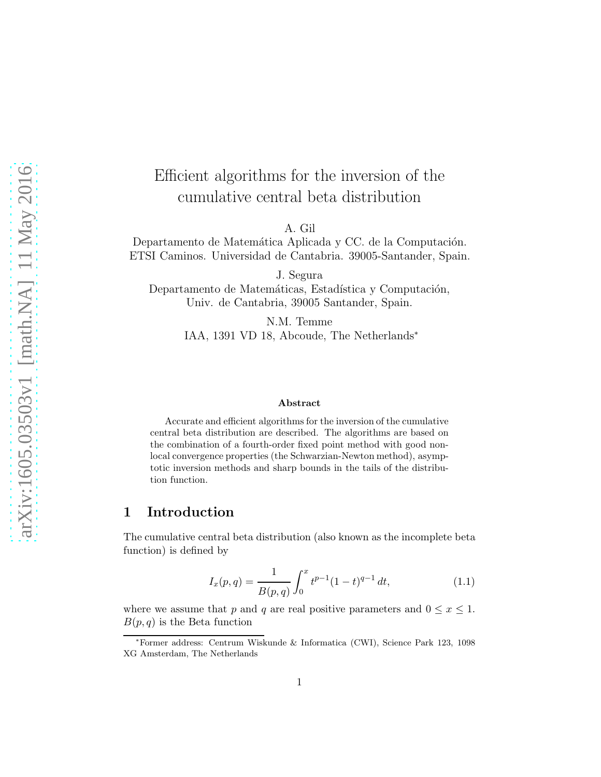# Efficient algorithms for the inversion of the cumulative central beta distribution

A. Gil

Departamento de Matemática Aplicada y CC. de la Computación. ETSI Caminos. Universidad de Cantabria. 39005-Santander, Spain.

J. Segura Departamento de Matemáticas, Estadística y Computación, Univ. de Cantabria, 39005 Santander, Spain.

> N.M. Temme IAA, 1391 VD 18, Abcoude, The Netherlands<sup>∗</sup>

#### Abstract

Accurate and efficient algorithms for the inversion of the cumulative central beta distribution are described. The algorithms are based on the combination of a fourth-order fixed point method with good nonlocal convergence properties (the Schwarzian-Newton method), asymptotic inversion methods and sharp bounds in the tails of the distribution function.

### 1 Introduction

The cumulative central beta distribution (also known as the incomplete beta function) is defined by

<span id="page-0-0"></span>
$$
I_x(p,q) = \frac{1}{B(p,q)} \int_0^x t^{p-1} (1-t)^{q-1} dt,
$$
\n(1.1)

where we assume that p and q are real positive parameters and  $0 \le x \le 1$ .  $B(p,q)$  is the Beta function

<sup>∗</sup>Former address: Centrum Wiskunde & Informatica (CWI), Science Park 123, 1098 XG Amsterdam, The Netherlands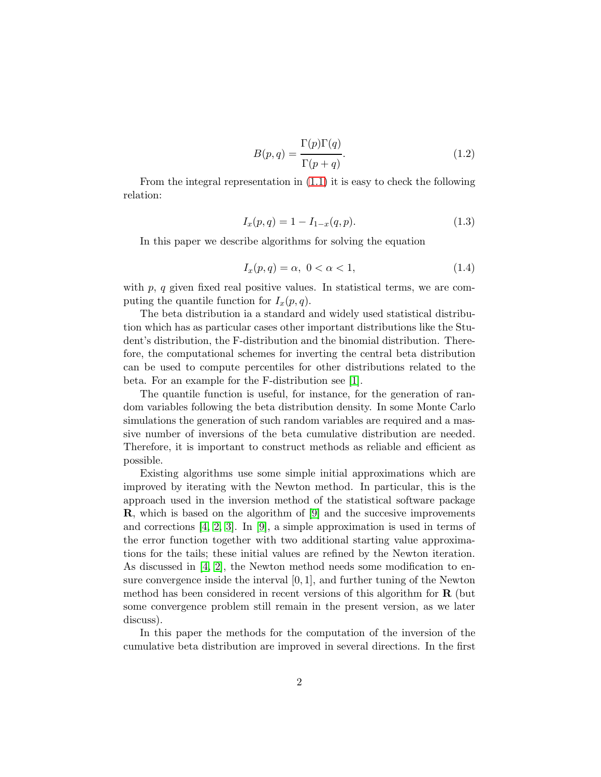$$
B(p,q) = \frac{\Gamma(p)\Gamma(q)}{\Gamma(p+q)}.
$$
\n(1.2)

From the integral representation in [\(1.1\)](#page-0-0) it is easy to check the following relation:

<span id="page-1-1"></span>
$$
I_x(p,q) = 1 - I_{1-x}(q,p). \tag{1.3}
$$

In this paper we describe algorithms for solving the equation

<span id="page-1-0"></span>
$$
I_x(p,q) = \alpha, \ 0 < \alpha < 1,\tag{1.4}
$$

with  $p, q$  given fixed real positive values. In statistical terms, we are computing the quantile function for  $I_x(p,q)$ .

The beta distribution ia a standard and widely used statistical distribution which has as particular cases other important distributions like the Student's distribution, the F-distribution and the binomial distribution. Therefore, the computational schemes for inverting the central beta distribution can be used to compute percentiles for other distributions related to the beta. For an example for the F-distribution see [\[1\]](#page-17-0).

The quantile function is useful, for instance, for the generation of random variables following the beta distribution density. In some Monte Carlo simulations the generation of such random variables are required and a massive number of inversions of the beta cumulative distribution are needed. Therefore, it is important to construct methods as reliable and efficient as possible.

Existing algorithms use some simple initial approximations which are improved by iterating with the Newton method. In particular, this is the approach used in the inversion method of the statistical software package R, which is based on the algorithm of [\[9\]](#page-18-0) and the succesive improvements and corrections [\[4,](#page-17-1) [2,](#page-17-2) [3\]](#page-17-3). In [\[9\]](#page-18-0), a simple approximation is used in terms of the error function together with two additional starting value approximations for the tails; these initial values are refined by the Newton iteration. As discussed in [\[4,](#page-17-1) [2\]](#page-17-2), the Newton method needs some modification to ensure convergence inside the interval  $[0, 1]$ , and further tuning of the Newton method has been considered in recent versions of this algorithm for  $\bf{R}$  (but some convergence problem still remain in the present version, as we later discuss).

In this paper the methods for the computation of the inversion of the cumulative beta distribution are improved in several directions. In the first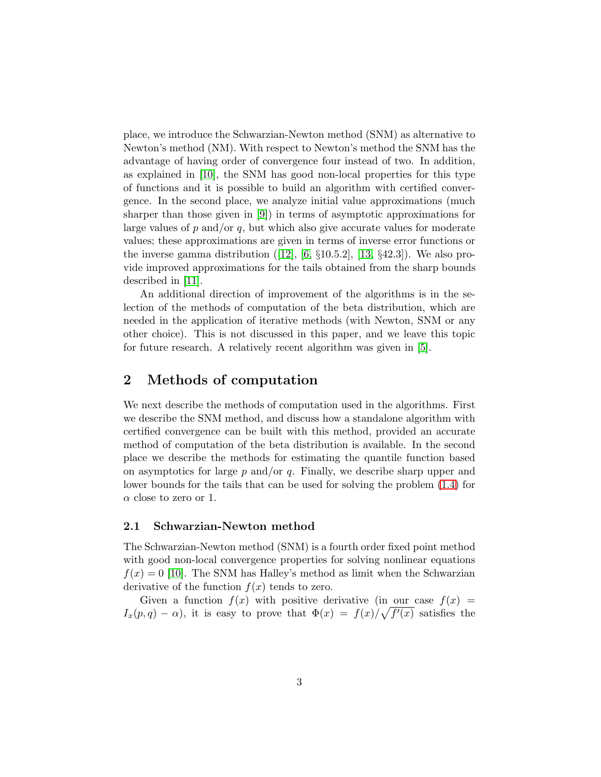place, we introduce the Schwarzian-Newton method (SNM) as alternative to Newton's method (NM). With respect to Newton's method the SNM has the advantage of having order of convergence four instead of two. In addition, as explained in [\[10\]](#page-18-1), the SNM has good non-local properties for this type of functions and it is possible to build an algorithm with certified convergence. In the second place, we analyze initial value approximations (much sharper than those given in [\[9\]](#page-18-0)) in terms of asymptotic approximations for large values of  $p$  and/or  $q$ , but which also give accurate values for moderate values; these approximations are given in terms of inverse error functions or theinverse gamma distribution  $(12)$ ,  $[6, §10.5.2]$ ,  $[13, §42.3]$ ). We also provide improved approximations for the tails obtained from the sharp bounds described in [\[11\]](#page-18-4).

An additional direction of improvement of the algorithms is in the selection of the methods of computation of the beta distribution, which are needed in the application of iterative methods (with Newton, SNM or any other choice). This is not discussed in this paper, and we leave this topic for future research. A relatively recent algorithm was given in [\[5\]](#page-17-5).

### 2 Methods of computation

We next describe the methods of computation used in the algorithms. First we describe the SNM method, and discuss how a standalone algorithm with certified convergence can be built with this method, provided an accurate method of computation of the beta distribution is available. In the second place we describe the methods for estimating the quantile function based on asymptotics for large  $p$  and/or  $q$ . Finally, we describe sharp upper and lower bounds for the tails that can be used for solving the problem [\(1.4\)](#page-1-0) for  $\alpha$  close to zero or 1.

#### <span id="page-2-0"></span>2.1 Schwarzian-Newton method

The Schwarzian-Newton method (SNM) is a fourth order fixed point method with good non-local convergence properties for solving nonlinear equations  $f(x) = 0$  [\[10\]](#page-18-1). The SNM has Halley's method as limit when the Schwarzian derivative of the function  $f(x)$  tends to zero.

Given a function  $f(x)$  with positive derivative (in our case  $f(x) =$  $I_x(p,q) - \alpha$ , it is easy to prove that  $\Phi(x) = f(x)/\sqrt{f'(x)}$  satisfies the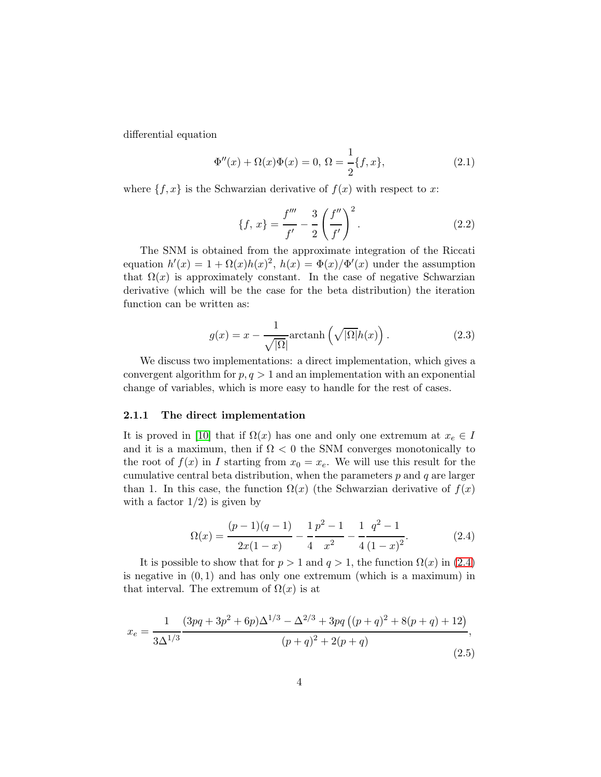differential equation

$$
\Phi''(x) + \Omega(x)\Phi(x) = 0, \ \Omega = \frac{1}{2}\{f, x\},\tag{2.1}
$$

where  $\{f, x\}$  is the Schwarzian derivative of  $f(x)$  with respect to x:

$$
\{f, x\} = \frac{f'''}{f'} - \frac{3}{2} \left(\frac{f''}{f'}\right)^2.
$$
 (2.2)

The SNM is obtained from the approximate integration of the Riccati equation  $h'(x) = 1 + \Omega(x)h(x)^2$ ,  $h(x) = \Phi(x)/\Phi'(x)$  under the assumption that  $\Omega(x)$  is approximately constant. In the case of negative Schwarzian derivative (which will be the case for the beta distribution) the iteration function can be written as:

<span id="page-3-1"></span>
$$
g(x) = x - \frac{1}{\sqrt{|\Omega|}} \operatorname{arctanh}\left(\sqrt{|\Omega|}h(x)\right). \tag{2.3}
$$

We discuss two implementations: a direct implementation, which gives a convergent algorithm for  $p, q > 1$  and an implementation with an exponential change of variables, which is more easy to handle for the rest of cases.

#### 2.1.1 The direct implementation

It is proved in [\[10\]](#page-18-1) that if  $\Omega(x)$  has one and only one extremum at  $x_e \in I$ and it is a maximum, then if  $\Omega < 0$  the SNM converges monotonically to the root of  $f(x)$  in I starting from  $x_0 = x_e$ . We will use this result for the cumulative central beta distribution, when the parameters  $p$  and  $q$  are larger than 1. In this case, the function  $\Omega(x)$  (the Schwarzian derivative of  $f(x)$ ) with a factor  $1/2$ ) is given by

<span id="page-3-0"></span>
$$
\Omega(x) = \frac{(p-1)(q-1)}{2x(1-x)} - \frac{1}{4} \frac{p^2 - 1}{x^2} - \frac{1}{4} \frac{q^2 - 1}{(1-x)^2}.
$$
 (2.4)

It is possible to show that for  $p > 1$  and  $q > 1$ , the function  $\Omega(x)$  in [\(2.4\)](#page-3-0) is negative in  $(0, 1)$  and has only one extremum (which is a maximum) in that interval. The extremum of  $\Omega(x)$  is at

$$
x_e = \frac{1}{3\Delta^{1/3}} \frac{(3pq + 3p^2 + 6p)\Delta^{1/3} - \Delta^{2/3} + 3pq\left((p+q)^2 + 8(p+q) + 12\right)}{(p+q)^2 + 2(p+q)},\tag{2.5}
$$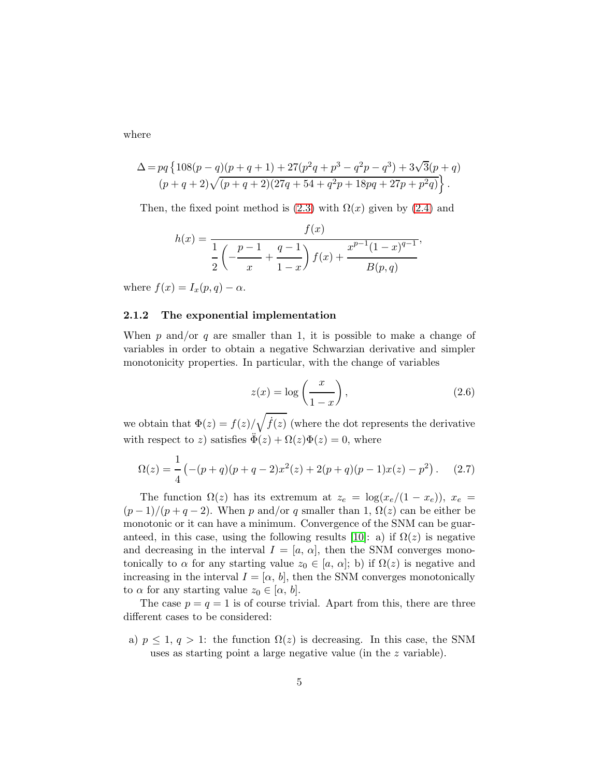where

$$
\Delta = pq\left\{108(p-q)(p+q+1)+27(p^2q+p^3-q^2p-q^3)+3\sqrt{3}(p+q)\newline (p+q+2)\sqrt{(p+q+2)(27q+54+q^2p+18pq+27p+p^2q)}\right\}.
$$

Then, the fixed point method is  $(2.3)$  with  $\Omega(x)$  given by  $(2.4)$  and

 $\delta$  /

$$
h(x) = \frac{f(x)}{\frac{1}{2} \left( -\frac{p-1}{x} + \frac{q-1}{1-x} \right) f(x) + \frac{x^{p-1}(1-x)^{q-1}}{B(p,q)}},
$$

where  $f(x) = I_x(p,q) - \alpha$ .

#### 2.1.2 The exponential implementation

When p and/or q are smaller than 1, it is possible to make a change of variables in order to obtain a negative Schwarzian derivative and simpler monotonicity properties. In particular, with the change of variables

$$
z(x) = \log\left(\frac{x}{1-x}\right),\tag{2.6}
$$

we obtain that  $\Phi(z) = f(z)/\sqrt{\dot{f}(z)}$  (where the dot represents the derivative with respect to z) satisfies  $\ddot{\Phi}(z) + \Omega(z)\Phi(z) = 0$ , where

$$
\Omega(z) = \frac{1}{4} \left( -(p+q)(p+q-2)x^2(z) + 2(p+q)(p-1)x(z) - p^2 \right). \tag{2.7}
$$

The function  $\Omega(z)$  has its extremum at  $z_e = \log(x_e/(1-x_e))$ ,  $x_e =$  $(p-1)/(p+q-2)$ . When p and/or q smaller than 1,  $\Omega(z)$  can be either be monotonic or it can have a minimum. Convergence of the SNM can be guar-anteed, in this case, using the following results [\[10\]](#page-18-1): a) if  $\Omega(z)$  is negative and decreasing in the interval  $I = [a, \alpha]$ , then the SNM converges monotonically to  $\alpha$  for any starting value  $z_0 \in [a, \alpha]$ ; b) if  $\Omega(z)$  is negative and increasing in the interval  $I = [\alpha, b]$ , then the SNM converges monotonically to  $\alpha$  for any starting value  $z_0 \in [\alpha, b]$ .

The case  $p = q = 1$  is of course trivial. Apart from this, there are three different cases to be considered:

a)  $p \leq 1, q > 1$ : the function  $\Omega(z)$  is decreasing. In this case, the SNM uses as starting point a large negative value (in the z variable).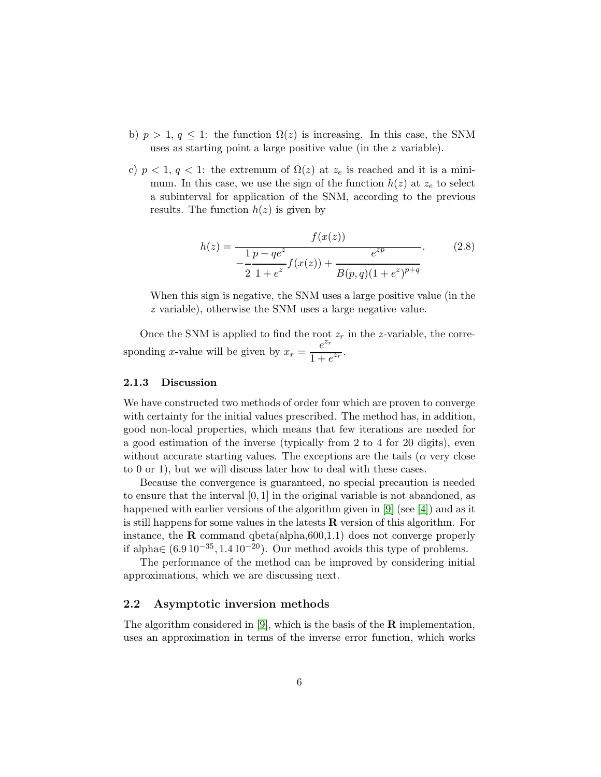- b)  $p > 1, q \leq 1$ : the function  $\Omega(z)$  is increasing. In this case, the SNM uses as starting point a large positive value (in the z variable).
- c)  $p < 1, q < 1$ : the extremum of  $\Omega(z)$  at  $z_e$  is reached and it is a minimum. In this case, we use the sign of the function  $h(z)$  at  $z_e$  to select a subinterval for application of the SNM, according to the previous results. The function  $h(z)$  is given by

$$
h(z) = \frac{f(x(z))}{-\frac{1}{2}\frac{p - q e^z}{1 + e^z}f(x(z)) + \frac{e^{zp}}{B(p, q)(1 + e^z)^{p+q}}}. \tag{2.8}
$$

When this sign is negative, the SNM uses a large positive value (in the z variable), otherwise the SNM uses a large negative value.

Once the SNM is applied to find the root  $z_r$  in the z-variable, the corresponding x-value will be given by  $x_r = \frac{e^{z_r}}{1 + \epsilon}$  $\frac{c}{1+e^{z_r}}$ .

#### 2.1.3 Discussion

We have constructed two methods of order four which are proven to converge with certainty for the initial values prescribed. The method has, in addition, good non-local properties, which means that few iterations are needed for a good estimation of the inverse (typically from 2 to 4 for 20 digits), even without accurate starting values. The exceptions are the tails  $(\alpha$  very close to 0 or 1), but we will discuss later how to deal with these cases.

Because the convergence is guaranteed, no special precaution is needed to ensure that the interval [0, 1] in the original variable is not abandoned, as happened with earlier versions of the algorithm given in [\[9\]](#page-18-0) (see [\[4\]](#page-17-1)) and as it is still happens for some values in the latests  $\bf R$  version of this algorithm. For instance, the  $\bf{R}$  command qbeta(alpha, 600, 1.1) does not converge properly if alpha∈  $(6.910^{-35}, 1.410^{-20})$ . Our method avoids this type of problems.

The performance of the method can be improved by considering initial approximations, which we are discussing next.

#### 2.2 Asymptotic inversion methods

The algorithm considered in [\[9\]](#page-18-0), which is the basis of the  $\bf R$  implementation, uses an approximation in terms of the inverse error function, which works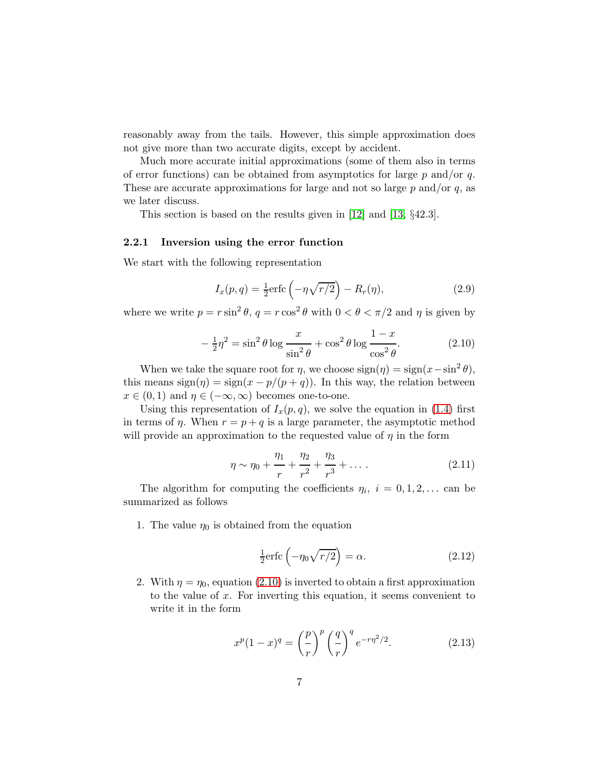reasonably away from the tails. However, this simple approximation does not give more than two accurate digits, except by accident.

Much more accurate initial approximations (some of them also in terms of error functions) can be obtained from asymptotics for large  $p$  and/or  $q$ . These are accurate approximations for large and not so large  $p$  and/or  $q$ , as we later discuss.

This section is based on the results given in [\[12\]](#page-18-2) and [\[13,](#page-18-3) §42.3].

#### <span id="page-6-2"></span>2.2.1 Inversion using the error function

We start with the following representation

$$
I_x(p,q) = \frac{1}{2}\text{erfc}\left(-\eta\sqrt{r/2}\right) - R_r(\eta),\tag{2.9}
$$

where we write  $p = r \sin^2 \theta$ ,  $q = r \cos^2 \theta$  with  $0 < \theta < \pi/2$  and  $\eta$  is given by

<span id="page-6-0"></span>
$$
-\frac{1}{2}\eta^2 = \sin^2\theta \log\frac{x}{\sin^2\theta} + \cos^2\theta \log\frac{1-x}{\cos^2\theta}.\tag{2.10}
$$

When we take the square root for  $\eta$ , we choose  $sign(\eta) = sign(x - sin^2 \theta)$ , this means  $sign(\eta) = sign(x - p/(p + q))$ . In this way, the relation between  $x \in (0, 1)$  and  $\eta \in (-\infty, \infty)$  becomes one-to-one.

Using this representation of  $I_x(p,q)$ , we solve the equation in [\(1.4\)](#page-1-0) first in terms of  $\eta$ . When  $r = p + q$  is a large parameter, the asymptotic method will provide an approximation to the requested value of  $\eta$  in the form

<span id="page-6-1"></span>
$$
\eta \sim \eta_0 + \frac{\eta_1}{r} + \frac{\eta_2}{r^2} + \frac{\eta_3}{r^3} + \dots \tag{2.11}
$$

The algorithm for computing the coefficients  $\eta_i$ ,  $i = 0, 1, 2, \ldots$  can be summarized as follows

1. The value  $\eta_0$  is obtained from the equation

<span id="page-6-3"></span>
$$
\frac{1}{2}\text{erfc}\left(-\eta_0\sqrt{r/2}\right) = \alpha. \tag{2.12}
$$

2. With  $\eta = \eta_0$ , equation [\(2.10\)](#page-6-0) is inverted to obtain a first approximation to the value of  $x$ . For inverting this equation, it seems convenient to write it in the form

$$
x^{p}(1-x)^{q} = \left(\frac{p}{r}\right)^{p} \left(\frac{q}{r}\right)^{q} e^{-r\eta^{2}/2}.
$$
 (2.13)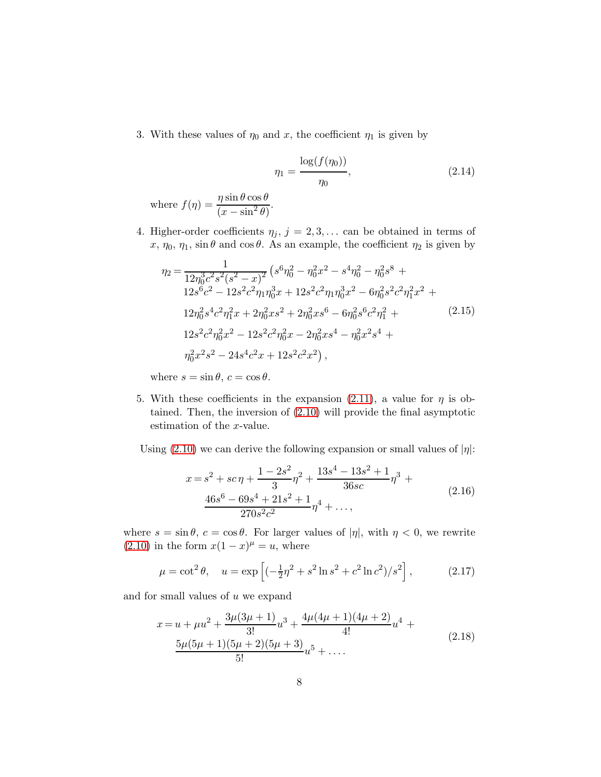3. With these values of  $\eta_0$  and x, the coefficient  $\eta_1$  is given by

$$
\eta_1 = \frac{\log(f(\eta_0))}{\eta_0},\tag{2.14}
$$

where  $f(\eta) = \frac{\eta \sin \theta \cos \theta}{(1 - \eta)^2}$  $\frac{h}{(x-\sin^2\theta)}$ .

4. Higher-order coefficients  $\eta_j, j = 2, 3, \ldots$  can be obtained in terms of  $x, \eta_0, \eta_1$ , sin  $\theta$  and cos  $\theta$ . As an example, the coefficient  $\eta_2$  is given by

$$
\eta_2 = \frac{1}{12\eta_0^3 c^2 s^2 (s^2 - x)^2} \left( s^6 \eta_0^2 - \eta_0^2 x^2 - s^4 \eta_0^2 - \eta_0^2 s^8 + 12s^6 c^2 - 12s^2 c^2 \eta_1 \eta_0^3 x + 12s^2 c^2 \eta_1 \eta_0^3 x^2 - 6\eta_0^2 s^2 c^2 \eta_1^2 x^2 + 12\eta_0^2 s^4 c^2 \eta_1^2 x + 2\eta_0^2 x s^2 + 2\eta_0^2 x s^6 - 6\eta_0^2 s^6 c^2 \eta_1^2 + 12s^2 c^2 \eta_0^2 x^2 - 12s^2 c^2 \eta_0^2 x - 2\eta_0^2 x s^4 - \eta_0^2 x^2 s^4 + 12s^2 s^2 - 24s^4 c^2 x + 12s^2 c^2 x^2 \right),
$$
\n(2.15)

where  $s = \sin \theta$ ,  $c = \cos \theta$ .

- 5. With these coefficients in the expansion [\(2.11\)](#page-6-1), a value for  $\eta$  is obtained. Then, the inversion of [\(2.10\)](#page-6-0) will provide the final asymptotic estimation of the x-value.
- Using [\(2.10\)](#page-6-0) we can derive the following expansion or small values of  $|\eta|$ :

$$
x = s2 + sc\eta + \frac{1 - 2s2}{3}\eta^{2} + \frac{13s^{4} - 13s^{2} + 1}{36sc}\eta^{3} +
$$
  

$$
\frac{46s^{6} - 69s^{4} + 21s^{2} + 1}{270s^{2}c^{2}}\eta^{4} + ...,
$$
 (2.16)

where  $s = \sin \theta$ ,  $c = \cos \theta$ . For larger values of  $|\eta|$ , with  $\eta < 0$ , we rewrite  $(2.10)$  in the form  $x(1-x)^\mu = u$ , where

$$
\mu = \cot^2 \theta
$$
,  $u = \exp \left[ (-\frac{1}{2}\eta^2 + s^2 \ln s^2 + c^2 \ln c^2)/s^2 \right]$ , (2.17)

and for small values of  $u$  we expand

$$
x = u + \mu u^{2} + \frac{3\mu(3\mu + 1)}{3!}u^{3} + \frac{4\mu(4\mu + 1)(4\mu + 2)}{4!}u^{4} + \frac{5\mu(5\mu + 1)(5\mu + 2)(5\mu + 3)}{5!}u^{5} + \dots
$$
\n(2.18)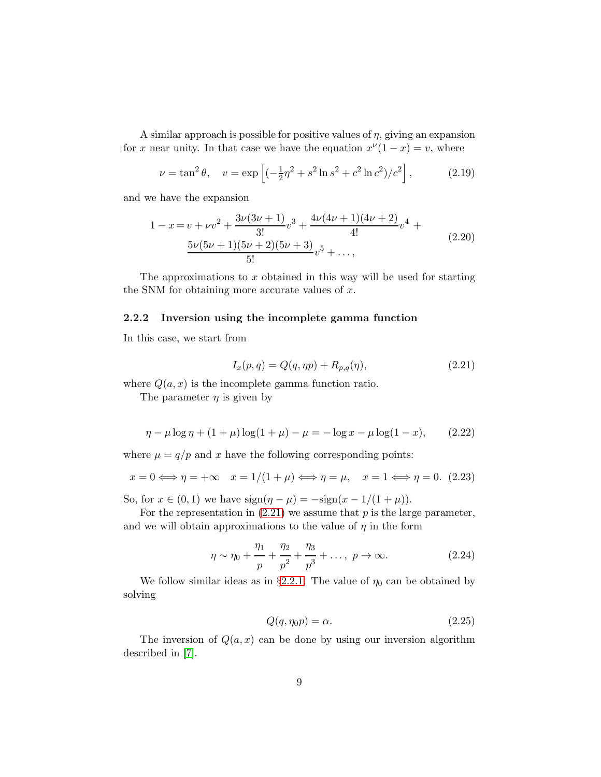A similar approach is possible for positive values of  $\eta$ , giving an expansion for x near unity. In that case we have the equation  $x^{\nu}(1-x) = v$ , where

$$
\nu = \tan^2 \theta, \quad v = \exp\left[(-\frac{1}{2}\eta^2 + s^2 \ln s^2 + c^2 \ln c^2)/c^2\right],\tag{2.19}
$$

and we have the expansion

$$
1 - x = v + \nu v^2 + \frac{3\nu(3\nu + 1)}{3!}v^3 + \frac{4\nu(4\nu + 1)(4\nu + 2)}{4!}v^4 + \frac{5\nu(5\nu + 1)(5\nu + 2)(5\nu + 3)}{5!}v^5 + \dots,
$$
\n(2.20)

The approximations to  $x$  obtained in this way will be used for starting the SNM for obtaining more accurate values of  $x$ .

#### 2.2.2 Inversion using the incomplete gamma function

In this case, we start from

<span id="page-8-0"></span>
$$
I_x(p,q) = Q(q, \eta p) + R_{p,q}(\eta), \tag{2.21}
$$

where  $Q(a, x)$  is the incomplete gamma function ratio.

The parameter  $\eta$  is given by

<span id="page-8-1"></span>
$$
\eta - \mu \log \eta + (1 + \mu) \log(1 + \mu) - \mu = -\log x - \mu \log(1 - x), \qquad (2.22)
$$

where  $\mu = q/p$  and x have the following corresponding points:

$$
x = 0 \iff \eta = +\infty \quad x = 1/(1 + \mu) \iff \eta = \mu, \quad x = 1 \iff \eta = 0. \tag{2.23}
$$

So, for  $x \in (0, 1)$  we have  $sign(\eta - \mu) = -sign(x - 1/(1 + \mu)).$ 

For the representation in  $(2.21)$  we assume that p is the large parameter, and we will obtain approximations to the value of  $\eta$  in the form

$$
\eta \sim \eta_0 + \frac{\eta_1}{p} + \frac{\eta_2}{p^2} + \frac{\eta_3}{p^3} + \dots, \ p \to \infty.
$$
 (2.24)

We follow similar ideas as in §[2.2.1.](#page-6-2) The value of  $\eta_0$  can be obtained by solving

$$
Q(q, \eta_0 p) = \alpha. \tag{2.25}
$$

The inversion of  $Q(a, x)$  can be done by using our inversion algorithm described in [\[7\]](#page-18-5).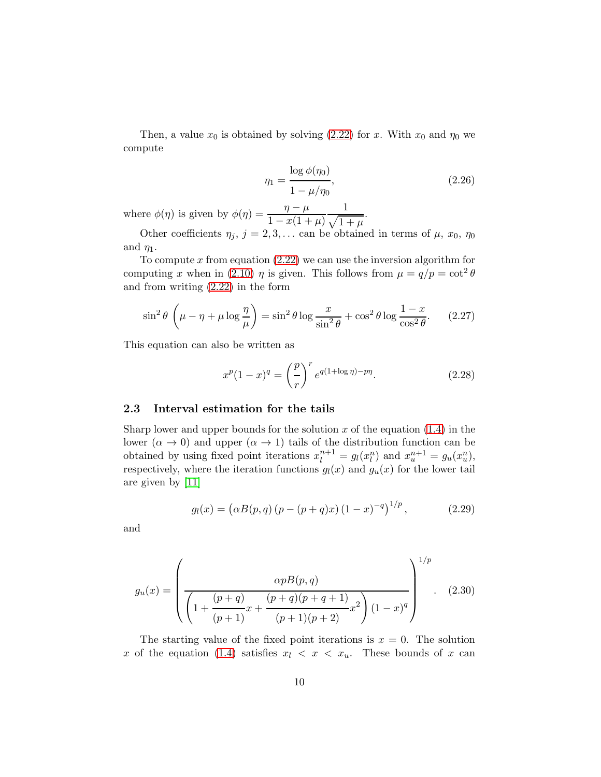Then, a value  $x_0$  is obtained by solving [\(2.22\)](#page-8-1) for x. With  $x_0$  and  $\eta_0$  we compute

$$
\eta_1 = \frac{\log \phi(\eta_0)}{1 - \mu/\eta_0},\tag{2.26}
$$

where  $\phi(\eta)$  is given by  $\phi(\eta) = \frac{\eta - \mu}{1 - \gamma(1 + \eta)}$  $1 - x(1 + \mu)$ 1  $\sqrt{1 + \mu}$ .

Other coefficients  $\eta_j$ ,  $j = 2, 3, \ldots$  can be obtained in terms of  $\mu$ ,  $x_0$ ,  $\eta_0$ and  $\eta_1$ .

To compute x from equation  $(2.22)$  we can use the inversion algorithm for computing x when in [\(2.10\)](#page-6-0)  $\eta$  is given. This follows from  $\mu = q/p = \cot^2 \theta$ and from writing [\(2.22\)](#page-8-1) in the form

$$
\sin^2 \theta \left( \mu - \eta + \mu \log \frac{\eta}{\mu} \right) = \sin^2 \theta \log \frac{x}{\sin^2 \theta} + \cos^2 \theta \log \frac{1 - x}{\cos^2 \theta}.
$$
 (2.27)

This equation can also be written as

$$
x^{p}(1-x)^{q} = \left(\frac{p}{r}\right)^{r} e^{q(1+\log \eta)-p\eta}.
$$
 (2.28)

#### <span id="page-9-0"></span>2.3 Interval estimation for the tails

Sharp lower and upper bounds for the solution x of the equation  $(1.4)$  in the lower  $(\alpha \to 0)$  and upper  $(\alpha \to 1)$  tails of the distribution function can be obtained by using fixed point iterations  $x_l^{n+1} = g_l(x_l^n)$  and  $x_u^{n+1} = g_u(x_u^n)$ , respectively, where the iteration functions  $g_l(x)$  and  $g_u(x)$  for the lower tail are given by [\[11\]](#page-18-4)

$$
g_l(x) = (\alpha B(p,q) (p - (p+q)x) (1-x)^{-q})^{1/p}, \qquad (2.29)
$$

and

$$
g_u(x) = \left(\frac{\alpha p B(p,q)}{\left(1 + \frac{(p+q)}{(p+1)}x + \frac{(p+q)(p+q+1)}{(p+1)(p+2)}x^2\right)(1-x)^q}\right)^{1/p}.
$$
 (2.30)

The starting value of the fixed point iterations is  $x = 0$ . The solution x of the equation [\(1.4\)](#page-1-0) satisfies  $x_l \leq x \leq x_u$ . These bounds of x can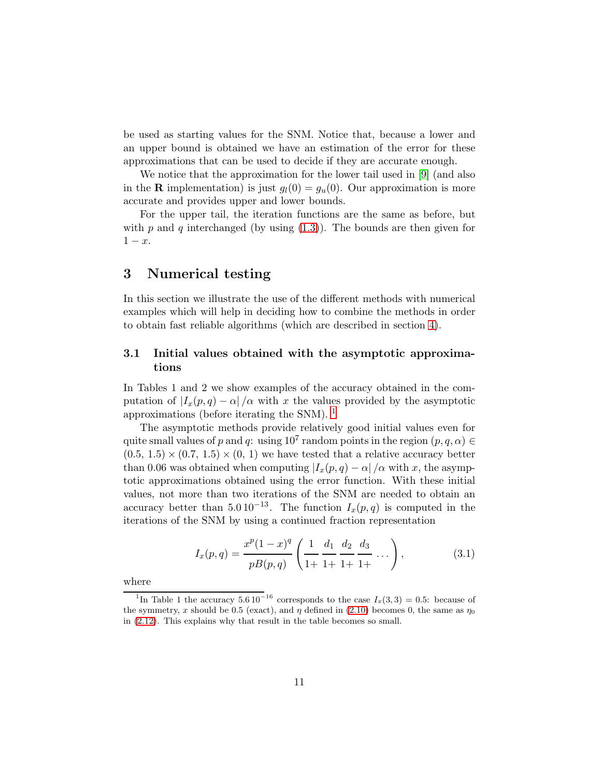be used as starting values for the SNM. Notice that, because a lower and an upper bound is obtained we have an estimation of the error for these approximations that can be used to decide if they are accurate enough.

We notice that the approximation for the lower tail used in [\[9\]](#page-18-0) (and also in the **R** implementation) is just  $g_l(0) = g_u(0)$ . Our approximation is more accurate and provides upper and lower bounds.

For the upper tail, the iteration functions are the same as before, but with p and q interchanged (by using  $(1.3)$ ). The bounds are then given for  $1-x$ .

## <span id="page-10-2"></span>3 Numerical testing

In this section we illustrate the use of the different methods with numerical examples which will help in deciding how to combine the methods in order to obtain fast reliable algorithms (which are described in section [4\)](#page-15-0).

#### <span id="page-10-1"></span>3.1 Initial values obtained with the asymptotic approximations

In Tables 1 and 2 we show examples of the accuracy obtained in the computation of  $|I_x(p,q) - \alpha|/\alpha$  with x the values provided by the asymptotic approximations (before iterating the SNM). [1](#page-10-0)

The asymptotic methods provide relatively good initial values even for quite small values of p and q: using  $10^7$  random points in the region  $(p, q, \alpha) \in$  $(0.5, 1.5) \times (0.7, 1.5) \times (0, 1)$  we have tested that a relative accuracy better than 0.06 was obtained when computing  $|I_x(p,q) - \alpha|/\alpha$  with x, the asymptotic approximations obtained using the error function. With these initial values, not more than two iterations of the SNM are needed to obtain an accuracy better than  $5.0 10^{-13}$ . The function  $I_x(p,q)$  is computed in the iterations of the SNM by using a continued fraction representation

$$
I_x(p,q) = \frac{x^p(1-x)^q}{pB(p,q)} \left( \frac{1}{1+} \frac{d_1}{1+} \frac{d_2}{1+} \frac{d_3}{1+} \dots \right), \tag{3.1}
$$

where

<span id="page-10-0"></span><sup>&</sup>lt;sup>1</sup>In Table 1 the accuracy  $5.6 10^{-16}$  corresponds to the case  $I_x(3,3) = 0.5$ : because of the symmetry, x should be 0.5 (exact), and  $\eta$  defined in [\(2.10\)](#page-6-0) becomes 0, the same as  $\eta_0$ in [\(2.12\)](#page-6-3). This explains why that result in the table becomes so small.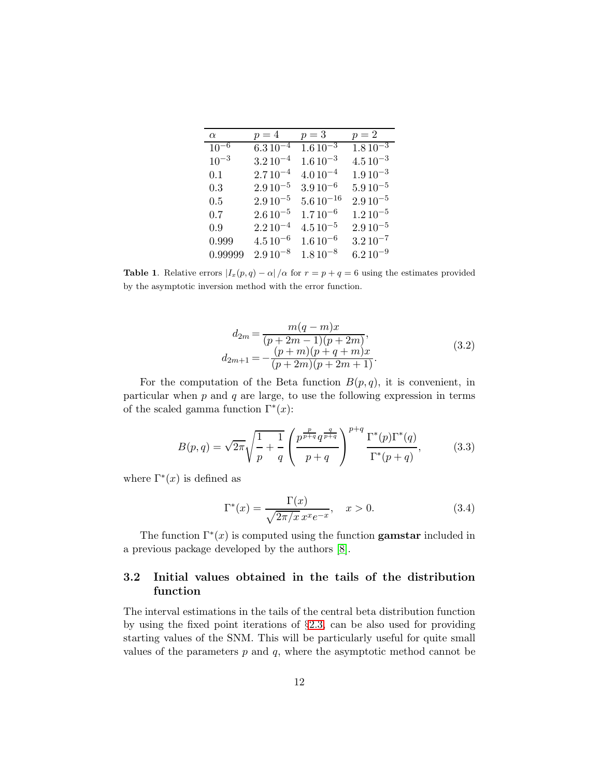| $\alpha$  | $p=4$        | $p=3$          | $p=2$                   |
|-----------|--------------|----------------|-------------------------|
| $10^{-6}$ | $6.310^{-4}$ | $1.610^{-3}$   | $1.8\overline{10^{-3}}$ |
| $10^{-3}$ | $3.210^{-4}$ | $1.610^{-3}$   | $4.510^{-3}$            |
| 0.1       | $2.710^{-4}$ | $4.010^{-4}$   | $1.910^{-3}$            |
| 0.3       | $2.910^{-5}$ | $3.910^{-6}$   | $5.9\,10^{-5}$          |
| 0.5       | $2.910^{-5}$ | $5.610^{-16}$  | $2.910^{-5}$            |
| 0.7       | $2.610^{-5}$ | $1.710^{-6}$   | $1.2\,10^{-5}$          |
| 0.9       | $2.210^{-4}$ | $4.510^{-5}$   | $2.910^{-5}$            |
| 0.999     | $4.510^{-6}$ | $1.6\,10^{-6}$ | $3.2\,10^{-7}$          |
| 0.99999   | $2.910^{-8}$ | $1.8\,10^{-8}$ | $6.210^{-9}$            |

**Table 1.** Relative errors  $|I_x(p,q) - \alpha|/\alpha$  for  $r = p + q = 6$  using the estimates provided by the asymptotic inversion method with the error function.

$$
d_{2m} = \frac{m(q-m)x}{(p+2m-1)(p+2m)},
$$
  
\n
$$
d_{2m+1} = -\frac{(p+m)(p+q+m)x}{(p+2m)(p+2m+1)}.
$$
\n(3.2)

For the computation of the Beta function  $B(p,q)$ , it is convenient, in particular when  $p$  and  $q$  are large, to use the following expression in terms of the scaled gamma function  $\Gamma^*(x)$ :

$$
B(p,q) = \sqrt{2\pi} \sqrt{\frac{1}{p} + \frac{1}{q}} \left( \frac{p^{\frac{p}{p+q}} q^{\frac{q}{p+q}}}{p+q} \right)^{p+q} \frac{\Gamma^*(p)\Gamma^*(q)}{\Gamma^*(p+q)},
$$
(3.3)

where  $\Gamma^*(x)$  is defined as

$$
\Gamma^*(x) = \frac{\Gamma(x)}{\sqrt{2\pi/x} x^x e^{-x}}, \quad x > 0.
$$
\n
$$
(3.4)
$$

The function  $\Gamma^*(x)$  is computed using the function **gamstar** included in a previous package developed by the authors [\[8\]](#page-18-6).

### 3.2 Initial values obtained in the tails of the distribution function

The interval estimations in the tails of the central beta distribution function by using the fixed point iterations of §[2.3,](#page-9-0) can be also used for providing starting values of the SNM. This will be particularly useful for quite small values of the parameters  $p$  and  $q$ , where the asymptotic method cannot be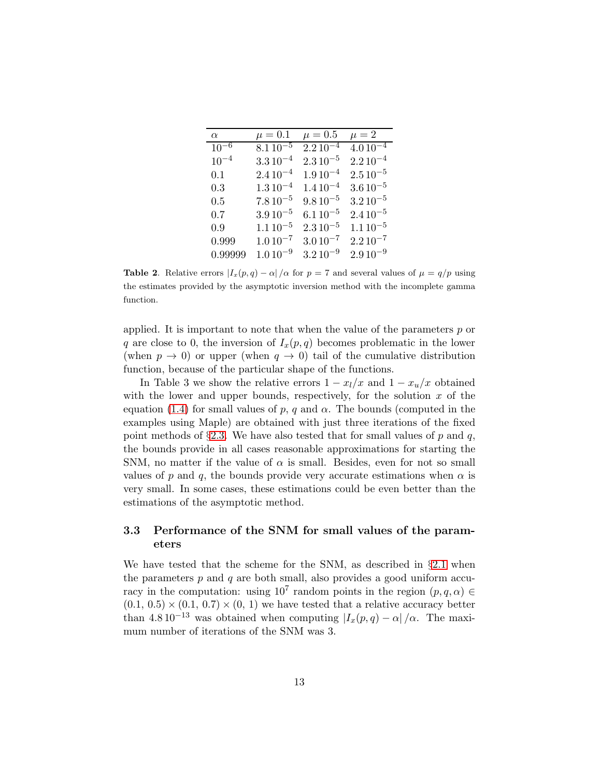| $\alpha$  | $\mu=0.1$                 | $\mu=0.5$      | $\mu = 2$      |
|-----------|---------------------------|----------------|----------------|
| $10^{-6}$ | $8.1\,\overline{10^{-5}}$ | $2.210^{-4}$   | $4.010^{-4}$   |
| $10^{-4}$ | $3.3\,10^{-4}$            | $2.3\,10^{-5}$ | $2.210^{-4}$   |
| 0.1       | $2.410^{-4}$              | $1.910^{-4}$   | $2.510^{-5}$   |
| 0.3       | $1.3\,10^{-4}$            | $1.410^{-4}$   | $3.6\,10^{-5}$ |
| $0.5\,$   | $7.810^{-5}$              | $9.8\,10^{-5}$ | $3.210^{-5}$   |
| 0.7       | $3.910^{-5}$              | $6.1\,10^{-5}$ | $2.410^{-5}$   |
| 0.9       | $1.110^{-5}$              | $2.3\,10^{-5}$ | $1.110^{-5}$   |
| 0.999     | $1.010^{-7}$              | $3.010^{-7}$   | $2.210^{-7}$   |
| 0.99999   | $1.010^{-9}$              | $3.210^{-9}$   | $2.910^{-9}$   |

**Table 2.** Relative errors  $|I_x(p,q) - \alpha|/\alpha$  for  $p = 7$  and several values of  $\mu = q/p$  using the estimates provided by the asymptotic inversion method with the incomplete gamma function.

applied. It is important to note that when the value of the parameters  $p$  or q are close to 0, the inversion of  $I_x(p,q)$  becomes problematic in the lower (when  $p \to 0$ ) or upper (when  $q \to 0$ ) tail of the cumulative distribution function, because of the particular shape of the functions.

In Table 3 we show the relative errors  $1 - x_l/x$  and  $1 - x_u/x$  obtained with the lower and upper bounds, respectively, for the solution  $x$  of the equation [\(1.4\)](#page-1-0) for small values of p, q and  $\alpha$ . The bounds (computed in the examples using Maple) are obtained with just three iterations of the fixed point methods of  $\S 2.3$ . We have also tested that for small values of p and q, the bounds provide in all cases reasonable approximations for starting the SNM, no matter if the value of  $\alpha$  is small. Besides, even for not so small values of p and q, the bounds provide very accurate estimations when  $\alpha$  is very small. In some cases, these estimations could be even better than the estimations of the asymptotic method.

### 3.3 Performance of the SNM for small values of the parameters

We have tested that the scheme for the SNM, as described in  $\S 2.1$  $\S 2.1$  when the parameters  $p$  and  $q$  are both small, also provides a good uniform accuracy in the computation: using  $10^7$  random points in the region  $(p, q, \alpha) \in$  $(0.1, 0.5) \times (0.1, 0.7) \times (0, 1)$  we have tested that a relative accuracy better than 4.8 10<sup>-13</sup> was obtained when computing  $|I_x(p,q) - \alpha|/\alpha$ . The maximum number of iterations of the SNM was 3.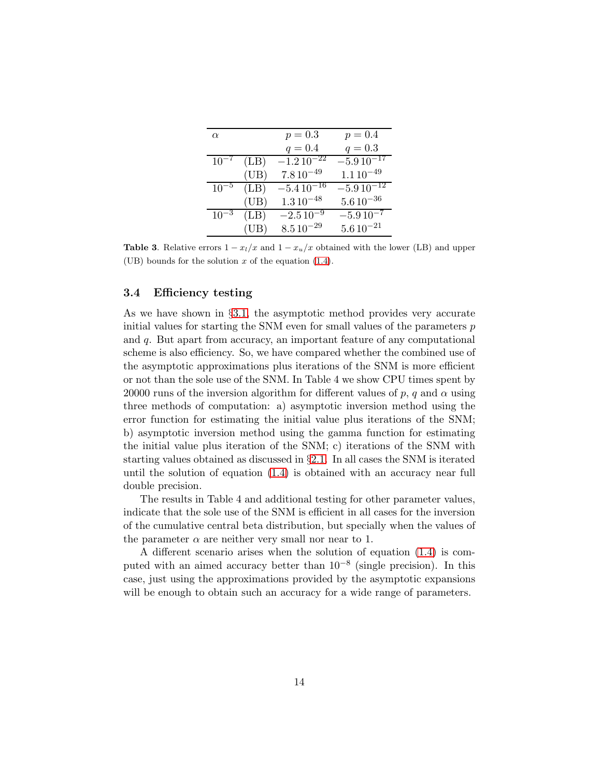| $\alpha$  |      | $p = 0.3$                   | $p = 0.4$      |
|-----------|------|-----------------------------|----------------|
|           |      | $q = 0.4$                   | $q = 0.3$      |
| $10^{-7}$ | (LB) | $-1.2\,\overline{10^{-22}}$ | $-5.910^{-17}$ |
|           | (UB) | $7.810^{-49}$               | $1.110^{-49}$  |
| $10^{-5}$ | (LB) | $-5.410^{-16}$              | $-5.910^{-12}$ |
|           | (UB) | $1.3\,10^{-48}$             | $5.610^{-36}$  |
| $10^{-3}$ | (LB) | $-2.510^{-9}$               | $-5.910^{-7}$  |
|           | (UB) | $8.5\,10^{-29}$             | $5.610^{-21}$  |

**Table 3.** Relative errors  $1 - x_l/x$  and  $1 - x_u/x$  obtained with the lower (LB) and upper (UB) bounds for the solution x of the equation  $(1.4)$ .

#### 3.4 Efficiency testing

As we have shown in §[3.1,](#page-10-1) the asymptotic method provides very accurate initial values for starting the SNM even for small values of the parameters  $p$ and q. But apart from accuracy, an important feature of any computational scheme is also efficiency. So, we have compared whether the combined use of the asymptotic approximations plus iterations of the SNM is more efficient or not than the sole use of the SNM. In Table 4 we show CPU times spent by 20000 runs of the inversion algorithm for different values of p, q and  $\alpha$  using three methods of computation: a) asymptotic inversion method using the error function for estimating the initial value plus iterations of the SNM; b) asymptotic inversion method using the gamma function for estimating the initial value plus iteration of the SNM; c) iterations of the SNM with starting values obtained as discussed in §[2.1.](#page-2-0) In all cases the SNM is iterated until the solution of equation [\(1.4\)](#page-1-0) is obtained with an accuracy near full double precision.

The results in Table 4 and additional testing for other parameter values, indicate that the sole use of the SNM is efficient in all cases for the inversion of the cumulative central beta distribution, but specially when the values of the parameter  $\alpha$  are neither very small nor near to 1.

A different scenario arises when the solution of equation [\(1.4\)](#page-1-0) is computed with an aimed accuracy better than 10−<sup>8</sup> (single precision). In this case, just using the approximations provided by the asymptotic expansions will be enough to obtain such an accuracy for a wide range of parameters.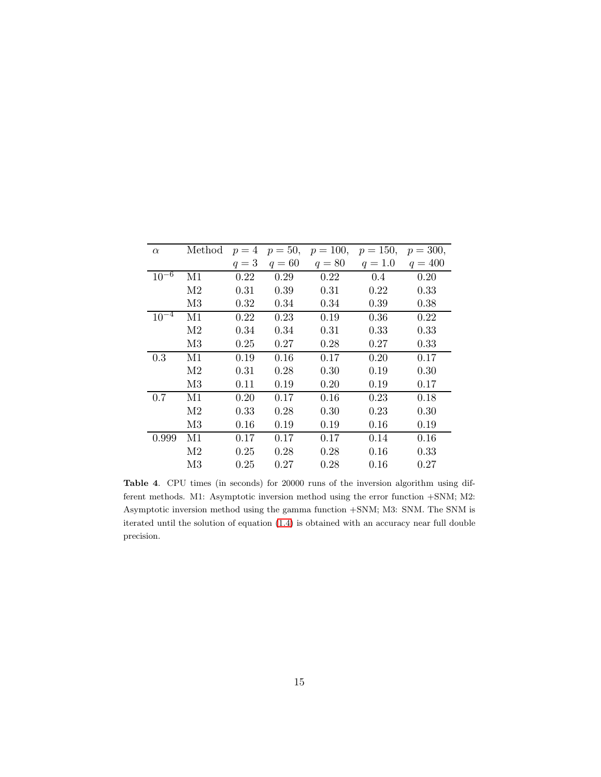| $\alpha$  | Method         | $p=4$ |        |        | $p = 50, p = 100, p = 150,$ | $p = 300,$ |
|-----------|----------------|-------|--------|--------|-----------------------------|------------|
|           |                | $q=3$ | $q=60$ | $q=80$ | $q = 1.0$                   | $q = 400$  |
| $10^{-6}$ | M1             | 0.22  | 0.29   | 0.22   | 0.4                         | 0.20       |
|           | M <sub>2</sub> | 0.31  | 0.39   | 0.31   | 0.22                        | 0.33       |
|           | M3             | 0.32  | 0.34   | 0.34   | 0.39                        | 0.38       |
| $10^{-4}$ | M1             | 0.22  | 0.23   | 0.19   | 0.36                        | 0.22       |
|           | M <sub>2</sub> | 0.34  | 0.34   | 0.31   | 0.33                        | 0.33       |
|           | M3             | 0.25  | 0.27   | 0.28   | 0.27                        | 0.33       |
| 0.3       | M1             | 0.19  | 0.16   | 0.17   | 0.20                        | 0.17       |
|           | M <sub>2</sub> | 0.31  | 0.28   | 0.30   | 0.19                        | 0.30       |
|           | M3             | 0.11  | 0.19   | 0.20   | 0.19                        | 0.17       |
| 0.7       | M1             | 0.20  | 0.17   | 0.16   | 0.23                        | 0.18       |
|           | M <sub>2</sub> | 0.33  | 0.28   | 0.30   | 0.23                        | 0.30       |
|           | M3             | 0.16  | 0.19   | 0.19   | 0.16                        | 0.19       |
| 0.999     | M1             | 0.17  | 0.17   | 0.17   | 0.14                        | 0.16       |
|           | M <sub>2</sub> | 0.25  | 0.28   | 0.28   | 0.16                        | 0.33       |
|           | M3             | 0.25  | 0.27   | 0.28   | 0.16                        | 0.27       |

Table 4. CPU times (in seconds) for 20000 runs of the inversion algorithm using different methods. M1: Asymptotic inversion method using the error function +SNM; M2: Asymptotic inversion method using the gamma function +SNM; M3: SNM. The SNM is iterated until the solution of equation [\(1.4\)](#page-1-0) is obtained with an accuracy near full double precision.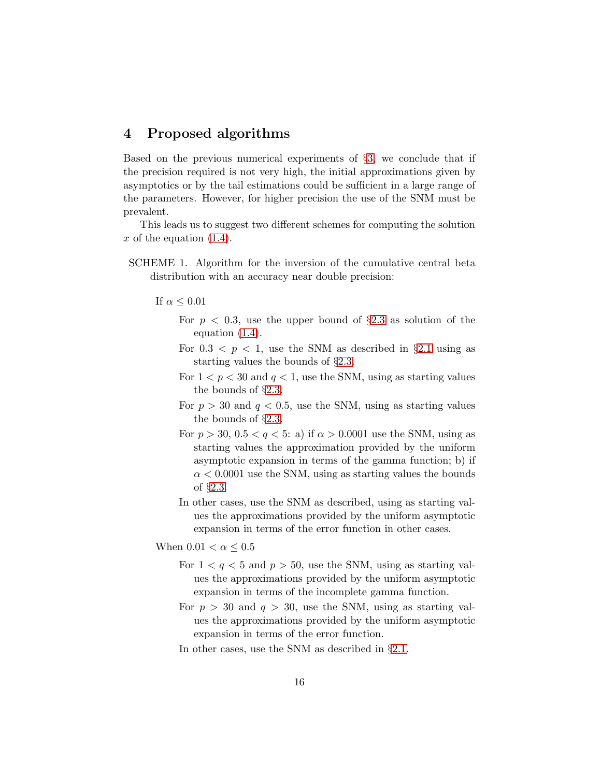# <span id="page-15-0"></span>4 Proposed algorithms

Based on the previous numerical experiments of §[3,](#page-10-2) we conclude that if the precision required is not very high, the initial approximations given by asymptotics or by the tail estimations could be sufficient in a large range of the parameters. However, for higher precision the use of the SNM must be prevalent.

This leads us to suggest two different schemes for computing the solution x of the equation  $(1.4)$ .

- SCHEME 1. Algorithm for the inversion of the cumulative central beta distribution with an accuracy near double precision:
	- If  $\alpha \leq 0.01$ 
		- For  $p < 0.3$ , use the upper bound of  $\S 2.3$  $\S 2.3$  as solution of the equation [\(1.4\)](#page-1-0).
		- For  $0.3 < p < 1$ , use the SNM as described in §[2.1](#page-2-0) using as starting values the bounds of §[2.3.](#page-9-0)
		- For  $1 < p < 30$  and  $q < 1$ , use the SNM, using as starting values the bounds of §[2.3.](#page-9-0)
		- For  $p > 30$  and  $q < 0.5$ , use the SNM, using as starting values the bounds of §[2.3.](#page-9-0)
		- For  $p > 30$ ,  $0.5 < q < 5$ : a) if  $\alpha > 0.0001$  use the SNM, using as starting values the approximation provided by the uniform asymptotic expansion in terms of the gamma function; b) if  $\alpha$  < 0.0001 use the SNM, using as starting values the bounds of §[2.3.](#page-9-0)
		- In other cases, use the SNM as described, using as starting values the approximations provided by the uniform asymptotic expansion in terms of the error function in other cases.
	- When  $0.01 < \alpha \leq 0.5$ 
		- For  $1 < q < 5$  and  $p > 50$ , use the SNM, using as starting values the approximations provided by the uniform asymptotic expansion in terms of the incomplete gamma function.
		- For  $p > 30$  and  $q > 30$ , use the SNM, using as starting values the approximations provided by the uniform asymptotic expansion in terms of the error function.
		- In other cases, use the SNM as described in §[2.1.](#page-2-0)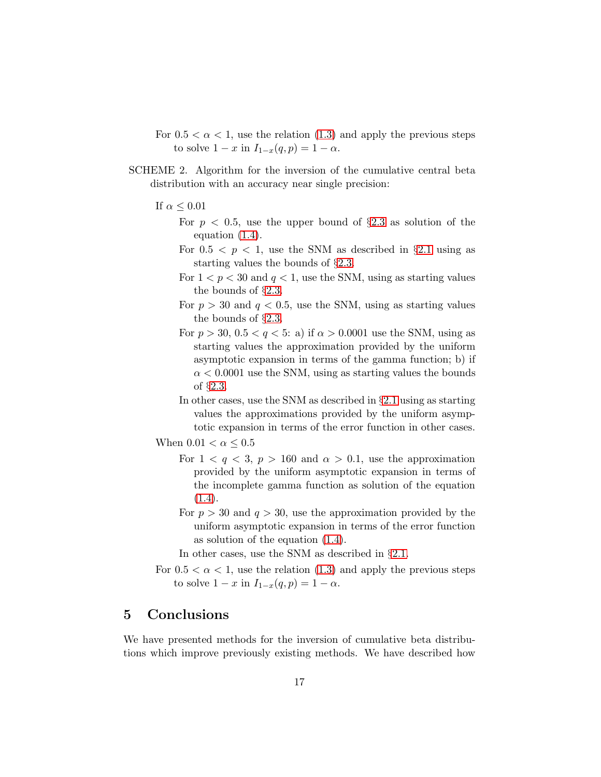- For  $0.5 < \alpha < 1$ , use the relation  $(1.3)$  and apply the previous steps to solve  $1 - x$  in  $I_{1-x}(q, p) = 1 - \alpha$ .
- SCHEME 2. Algorithm for the inversion of the cumulative central beta distribution with an accuracy near single precision:
	- If  $\alpha \leq 0.01$ 
		- For  $p < 0.5$ , use the upper bound of  $\S 2.3$  $\S 2.3$  as solution of the equation [\(1.4\)](#page-1-0).
		- For  $0.5 < p < 1$ , use the SNM as described in §[2.1](#page-2-0) using as starting values the bounds of §[2.3.](#page-9-0)
		- For  $1 < p < 30$  and  $q < 1$ , use the SNM, using as starting values the bounds of §[2.3.](#page-9-0)
		- For  $p > 30$  and  $q < 0.5$ , use the SNM, using as starting values the bounds of §[2.3.](#page-9-0)
		- For  $p > 30$ ,  $0.5 < q < 5$ : a) if  $\alpha > 0.0001$  use the SNM, using as starting values the approximation provided by the uniform asymptotic expansion in terms of the gamma function; b) if  $\alpha$  < 0.0001 use the SNM, using as starting values the bounds of §[2.3.](#page-9-0)
		- In other cases, use the SNM as described in §[2.1](#page-2-0) using as starting values the approximations provided by the uniform asymptotic expansion in terms of the error function in other cases.
	- When  $0.01 < \alpha \leq 0.5$ 
		- For  $1 < q < 3$ ,  $p > 160$  and  $\alpha > 0.1$ , use the approximation provided by the uniform asymptotic expansion in terms of the incomplete gamma function as solution of the equation [\(1.4\)](#page-1-0).
		- For  $p > 30$  and  $q > 30$ , use the approximation provided by the uniform asymptotic expansion in terms of the error function as solution of the equation [\(1.4\)](#page-1-0).
		- In other cases, use the SNM as described in §[2.1.](#page-2-0)
	- For  $0.5 < \alpha < 1$ , use the relation  $(1.3)$  and apply the previous steps to solve  $1 - x$  in  $I_{1-x}(q, p) = 1 - \alpha$ .

### 5 Conclusions

We have presented methods for the inversion of cumulative beta distributions which improve previously existing methods. We have described how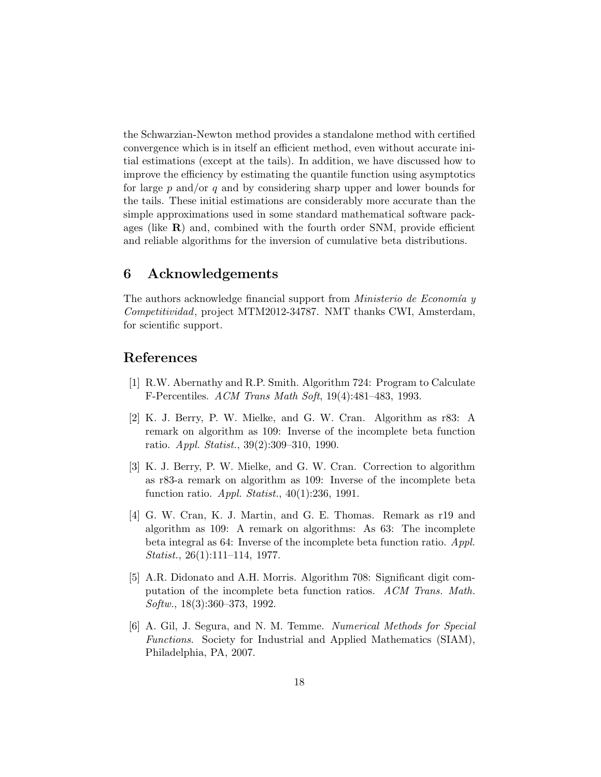the Schwarzian-Newton method provides a standalone method with certified convergence which is in itself an efficient method, even without accurate initial estimations (except at the tails). In addition, we have discussed how to improve the efficiency by estimating the quantile function using asymptotics for large  $p$  and/or  $q$  and by considering sharp upper and lower bounds for the tails. These initial estimations are considerably more accurate than the simple approximations used in some standard mathematical software packages (like  $\bf{R}$ ) and, combined with the fourth order SNM, provide efficient and reliable algorithms for the inversion of cumulative beta distributions.

### 6 Acknowledgements

The authors acknowledge financial support from *Ministerio de Economía*  $y$ Competitividad, project MTM2012-34787. NMT thanks CWI, Amsterdam, for scientific support.

### <span id="page-17-0"></span>References

- <span id="page-17-2"></span>[1] R.W. Abernathy and R.P. Smith. Algorithm 724: Program to Calculate F-Percentiles. ACM Trans Math Soft, 19(4):481–483, 1993.
- [2] K. J. Berry, P. W. Mielke, and G. W. Cran. Algorithm as r83: A remark on algorithm as 109: Inverse of the incomplete beta function ratio. Appl. Statist., 39(2):309–310, 1990.
- <span id="page-17-3"></span>[3] K. J. Berry, P. W. Mielke, and G. W. Cran. Correction to algorithm as r83-a remark on algorithm as 109: Inverse of the incomplete beta function ratio. Appl. Statist., 40(1):236, 1991.
- <span id="page-17-1"></span>[4] G. W. Cran, K. J. Martin, and G. E. Thomas. Remark as r19 and algorithm as 109: A remark on algorithms: As 63: The incomplete beta integral as 64: Inverse of the incomplete beta function ratio. Appl. Statist., 26(1):111–114, 1977.
- <span id="page-17-5"></span>[5] A.R. Didonato and A.H. Morris. Algorithm 708: Significant digit computation of the incomplete beta function ratios. ACM Trans. Math. Softw., 18(3):360–373, 1992.
- <span id="page-17-4"></span>[6] A. Gil, J. Segura, and N. M. Temme. Numerical Methods for Special Functions. Society for Industrial and Applied Mathematics (SIAM), Philadelphia, PA, 2007.